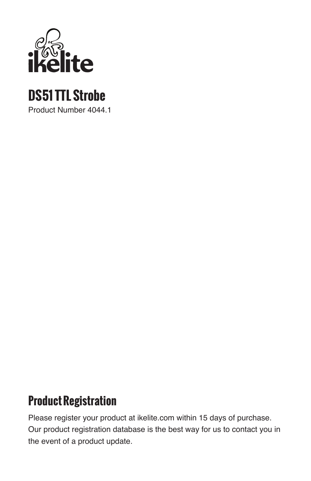

# **DS51 TTL Strobe**

Product Number 4044.1

### **Product Registration**

Please register your product at ikelite.com within 15 days of purchase. Our product registration database is the best way for us to contact you in the event of a product update.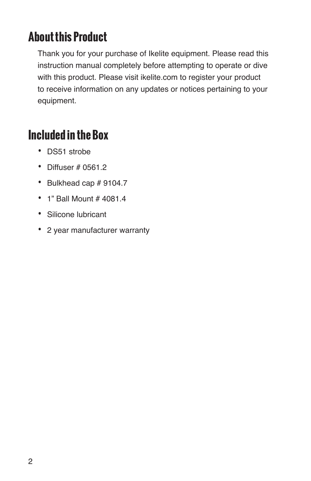## **About this Product**

Thank you for your purchase of Ikelite equipment. Please read this instruction manual completely before attempting to operate or dive with this product. Please visit ikelite.com to register your product to receive information on any updates or notices pertaining to your equipment.

### **Included in the Box**

- DS51 strobe
- Diffuser # 0561.2
- Bulkhead cap # 9104.7
- 1" Ball Mount # 4081.4
- Silicone lubricant
- 2 year manufacturer warranty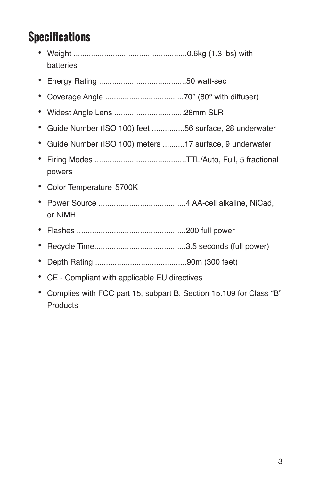# **Specifications**

- Weight ....................................................0.6kg (1.3 lbs) with batteries
- Energy Rating ........................................50 watt-sec
- Coverage Angle ....................................70° (80° with diffuser)
- Widest Angle Lens ................................28mm SLR
- Guide Number (ISO 100) feet ...............56 surface, 28 underwater
- Guide Number (ISO 100) meters ..........17 surface, 9 underwater
- Firing Modes ..........................................TTL/Auto, Full, 5 fractional powers
- Color Temperature 5700K
- Power Source ........................................4 AA-cell alkaline, NiCad, or NiMH
- Flashes ..................................................200 full power
- Recycle Time..........................................3.5 seconds (full power)
- Depth Rating ..........................................90m (300 feet)
- CE Compliant with applicable EU directives
- Complies with FCC part 15, subpart B, Section 15.109 for Class "B" **Products**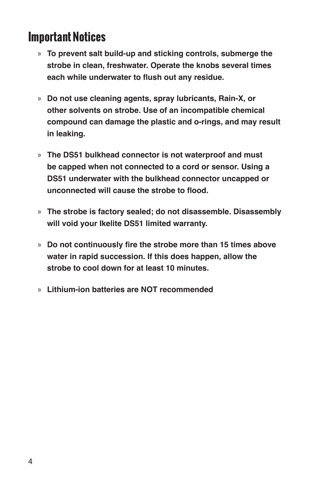### **Important Notices**

- » **To prevent salt build-up and sticking controls, submerge the strobe in clean, freshwater. Operate the knobs several times each while underwater to flush out any residue.**
- » **Do not use cleaning agents, spray lubricants, Rain-X, or other solvents on strobe. Use of an incompatible chemical compound can damage the plastic and o-rings, and may result in leaking.**
- » **The DS51 bulkhead connector is not waterproof and must be capped when not connected to a cord or sensor. Using a DS51 underwater with the bulkhead connector uncapped or unconnected will cause the strobe to flood.**
- » **The strobe is factory sealed; do not disassemble. Disassembly will void your Ikelite DS51 limited warranty.**
- » **Do not continuously fire the strobe more than 15 times above water in rapid succession. If this does happen, allow the strobe to cool down for at least 10 minutes.**
- » **Lithium-ion batteries are NOT recommended**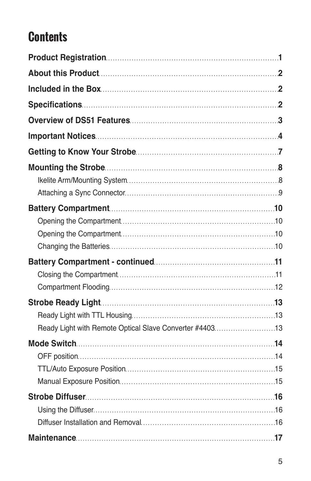# **Contents**

| Ready Light with Remote Optical Slave Converter #440313 |  |
|---------------------------------------------------------|--|
|                                                         |  |
|                                                         |  |
|                                                         |  |
|                                                         |  |
|                                                         |  |
|                                                         |  |
|                                                         |  |
|                                                         |  |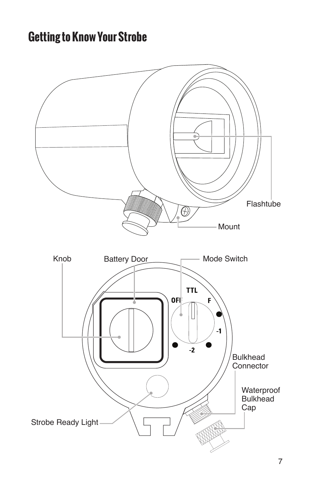## **Getting to Know Your Strobe**

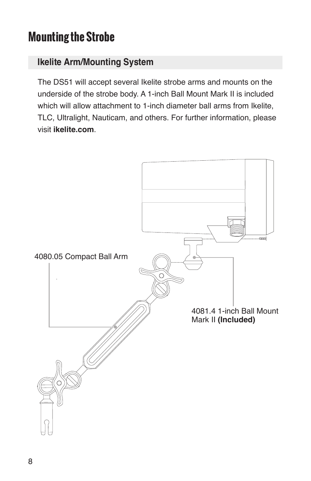### **Mounting the Strobe**

#### **Ikelite Arm/Mounting System**

The DS51 will accept several Ikelite strobe arms and mounts on the underside of the strobe body. A 1-inch Ball Mount Mark II is included which will allow attachment to 1-inch diameter ball arms from Ikelite, TLC, Ultralight, Nauticam, and others. For further information, please visit **ikelite.com**.

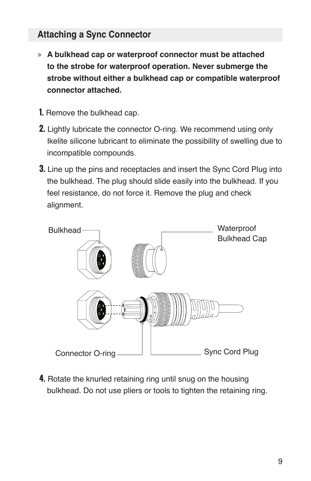#### **Attaching a Sync Connector**

- » **A bulkhead cap or waterproof connector must be attached to the strobe for waterproof operation. Never submerge the strobe without either a bulkhead cap or compatible waterproof connector attached.**
- **1.** Remove the bulkhead cap.
- **2.** Lightly lubricate the connector O-ring. We recommend using only Ikelite silicone lubricant to eliminate the possibility of swelling due to incompatible compounds.
- **3.** Line up the pins and receptacles and insert the Sync Cord Plug into the bulkhead. The plug should slide easily into the bulkhead. If you feel resistance, do not force it. Remove the plug and check alignment.



**4.** Rotate the knurled retaining ring until snug on the housing bulkhead. Do not use pliers or tools to tighten the retaining ring.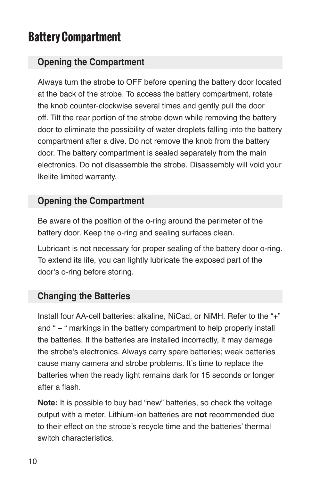## **Battery Compartment**

#### **Opening the Compartment**

Always turn the strobe to OFF before opening the battery door located at the back of the strobe. To access the battery compartment, rotate the knob counter-clockwise several times and gently pull the door off. Tilt the rear portion of the strobe down while removing the battery door to eliminate the possibility of water droplets falling into the battery compartment after a dive. Do not remove the knob from the battery door. The battery compartment is sealed separately from the main electronics. Do not disassemble the strobe. Disassembly will void your Ikelite limited warranty.

#### **Opening the Compartment**

Be aware of the position of the o-ring around the perimeter of the battery door. Keep the o-ring and sealing surfaces clean.

Lubricant is not necessary for proper sealing of the battery door o-ring. To extend its life, you can lightly lubricate the exposed part of the door's o-ring before storing.

#### **Changing the Batteries**

Install four AA-cell batteries: alkaline, NiCad, or NiMH. Refer to the "+" and " – " markings in the battery compartment to help properly install the batteries. If the batteries are installed incorrectly, it may damage the strobe's electronics. Always carry spare batteries; weak batteries cause many camera and strobe problems. It's time to replace the batteries when the ready light remains dark for 15 seconds or longer after a flash.

**Note:** It is possible to buy bad "new" batteries, so check the voltage output with a meter. Lithium-ion batteries are **not** recommended due to their effect on the strobe's recycle time and the batteries' thermal switch characteristics.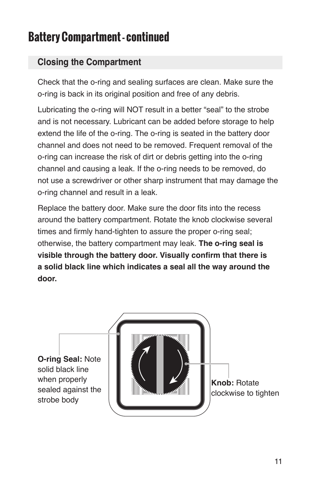## **Battery Compartment - continued**

#### **Closing the Compartment**

Check that the o-ring and sealing surfaces are clean. Make sure the o-ring is back in its original position and free of any debris.

Lubricating the o-ring will NOT result in a better "seal" to the strobe and is not necessary. Lubricant can be added before storage to help extend the life of the o-ring. The o-ring is seated in the battery door channel and does not need to be removed. Frequent removal of the o-ring can increase the risk of dirt or debris getting into the o-ring channel and causing a leak. If the o-ring needs to be removed, do not use a screwdriver or other sharp instrument that may damage the o-ring channel and result in a leak.

Replace the battery door. Make sure the door fits into the recess around the battery compartment. Rotate the knob clockwise several times and firmly hand-tighten to assure the proper o-ring seal; otherwise, the battery compartment may leak. **The o-ring seal is visible through the battery door. Visually confirm that there is a solid black line which indicates a seal all the way around the door.**

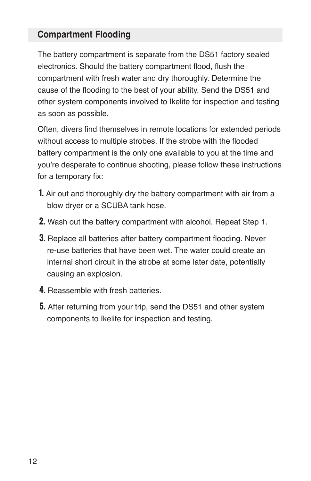#### **Compartment Flooding**

The battery compartment is separate from the DS51 factory sealed electronics. Should the battery compartment flood, flush the compartment with fresh water and dry thoroughly. Determine the cause of the flooding to the best of your ability. Send the DS51 and other system components involved to Ikelite for inspection and testing as soon as possible.

Often, divers find themselves in remote locations for extended periods without access to multiple strobes. If the strobe with the flooded battery compartment is the only one available to you at the time and you're desperate to continue shooting, please follow these instructions for a temporary fix:

- **1.** Air out and thoroughly dry the battery compartment with air from a blow dryer or a SCUBA tank hose.
- **2.** Wash out the battery compartment with alcohol. Repeat Step 1.
- **3.** Replace all batteries after battery compartment flooding. Never re-use batteries that have been wet. The water could create an internal short circuit in the strobe at some later date, potentially causing an explosion.
- **4.** Reassemble with fresh batteries.
- **5.** After returning from your trip, send the DS51 and other system components to Ikelite for inspection and testing.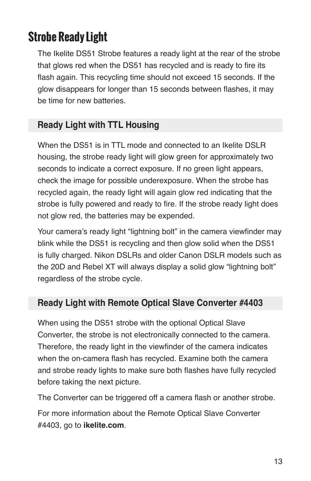## **Strobe Ready Light**

The Ikelite DS51 Strobe features a ready light at the rear of the strobe that glows red when the DS51 has recycled and is ready to fire its flash again. This recycling time should not exceed 15 seconds. If the glow disappears for longer than 15 seconds between flashes, it may be time for new batteries.

#### **Ready Light with TTL Housing**

When the DS51 is in TTL mode and connected to an Ikelite DSLR housing, the strobe ready light will glow green for approximately two seconds to indicate a correct exposure. If no green light appears, check the image for possible underexposure. When the strobe has recycled again, the ready light will again glow red indicating that the strobe is fully powered and ready to fire. If the strobe ready light does not glow red, the batteries may be expended.

Your camera's ready light "lightning bolt" in the camera viewfinder may blink while the DS51 is recycling and then glow solid when the DS51 is fully charged. Nikon DSLRs and older Canon DSLR models such as the 20D and Rebel XT will always display a solid glow "lightning bolt" regardless of the strobe cycle.

#### **Ready Light with Remote Optical Slave Converter #4403**

When using the DS51 strobe with the optional Optical Slave Converter, the strobe is not electronically connected to the camera. Therefore, the ready light in the viewfinder of the camera indicates when the on-camera flash has recycled. Examine both the camera and strobe ready lights to make sure both flashes have fully recycled before taking the next picture.

The Converter can be triggered off a camera flash or another strobe.

For more information about the Remote Optical Slave Converter #4403, go to **ikelite.com**.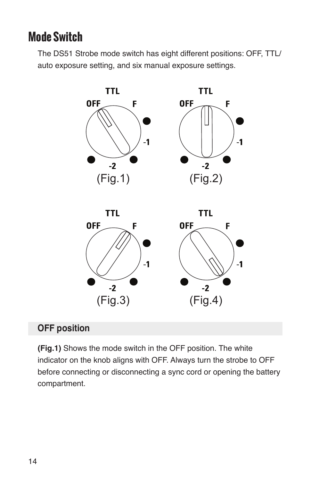### **Mode Switch**

The DS51 Strobe mode switch has eight different positions: OFF, TTL/ auto exposure setting, and six manual exposure settings.



#### **OFF position**

**(Fig.1)** Shows the mode switch in the OFF position. The white indicator on the knob aligns with OFF. Always turn the strobe to OFF before connecting or disconnecting a sync cord or opening the battery compartment.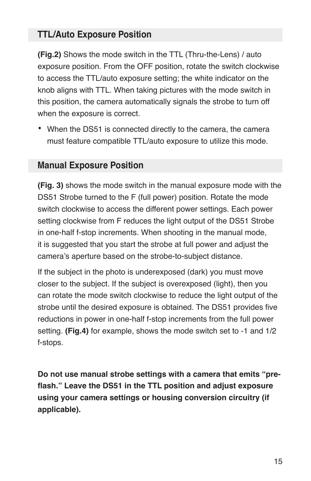#### **TTL/Auto Exposure Position**

**(Fig.2)** Shows the mode switch in the TTL (Thru-the-Lens) / auto exposure position. From the OFF position, rotate the switch clockwise to access the TTL/auto exposure setting; the white indicator on the knob aligns with TTL. When taking pictures with the mode switch in this position, the camera automatically signals the strobe to turn off when the exposure is correct.

• When the DS51 is connected directly to the camera, the camera must feature compatible TTL/auto exposure to utilize this mode.

#### **Manual Exposure Position**

**(Fig. 3)** shows the mode switch in the manual exposure mode with the DS51 Strobe turned to the F (full power) position. Rotate the mode switch clockwise to access the different power settings. Each power setting clockwise from F reduces the light output of the DS51 Strobe in one-half f-stop increments. When shooting in the manual mode, it is suggested that you start the strobe at full power and adjust the camera's aperture based on the strobe-to-subject distance.

If the subject in the photo is underexposed (dark) you must move closer to the subject. If the subject is overexposed (light), then you can rotate the mode switch clockwise to reduce the light output of the strobe until the desired exposure is obtained. The DS51 provides five reductions in power in one-half f-stop increments from the full power setting. **(Fig.4)** for example, shows the mode switch set to -1 and 1/2 f-stops.

**Do not use manual strobe settings with a camera that emits "preflash." Leave the DS51 in the TTL position and adjust exposure using your camera settings or housing conversion circuitry (if applicable).**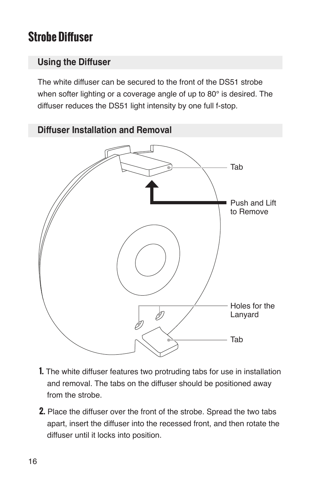## **Strobe Diffuser**

#### **Using the Diffuser**

The white diffuser can be secured to the front of the DS51 strobe when softer lighting or a coverage angle of up to 80° is desired. The diffuser reduces the DS51 light intensity by one full f-stop.



- **1.** The white diffuser features two protruding tabs for use in installation and removal. The tabs on the diffuser should be positioned away from the strobe.
- **2.** Place the diffuser over the front of the strobe. Spread the two tabs apart, insert the diffuser into the recessed front, and then rotate the diffuser until it locks into position.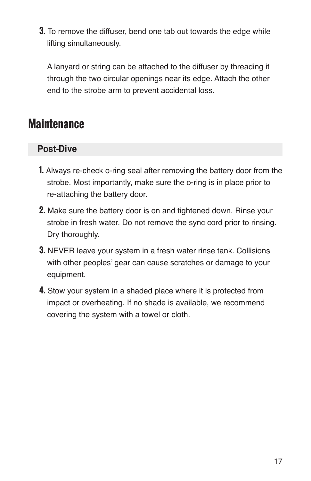**3.** To remove the diffuser, bend one tab out towards the edge while lifting simultaneously.

A lanyard or string can be attached to the diffuser by threading it through the two circular openings near its edge. Attach the other end to the strobe arm to prevent accidental loss.

### **Maintenance**

#### **Post-Dive**

- **1.** Always re-check o-ring seal after removing the battery door from the strobe. Most importantly, make sure the o-ring is in place prior to re-attaching the battery door.
- **2.** Make sure the battery door is on and tightened down. Rinse your strobe in fresh water. Do not remove the sync cord prior to rinsing. Dry thoroughly.
- **3.** NEVER leave your system in a fresh water rinse tank. Collisions with other peoples' gear can cause scratches or damage to your equipment.
- **4.** Stow your system in a shaded place where it is protected from impact or overheating. If no shade is available, we recommend covering the system with a towel or cloth.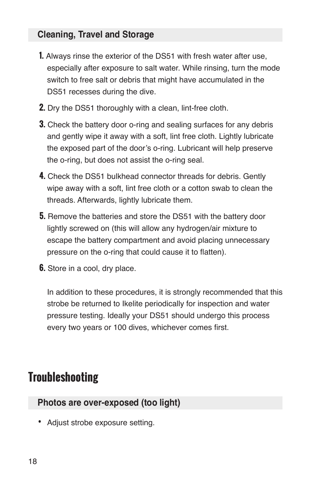#### **Cleaning, Travel and Storage**

- **1.** Always rinse the exterior of the DS51 with fresh water after use, especially after exposure to salt water. While rinsing, turn the mode switch to free salt or debris that might have accumulated in the DS51 recesses during the dive.
- **2.** Dry the DS51 thoroughly with a clean, lint-free cloth.
- **3.** Check the battery door o-ring and sealing surfaces for any debris and gently wipe it away with a soft, lint free cloth. Lightly lubricate the exposed part of the door's o-ring. Lubricant will help preserve the o-ring, but does not assist the o-ring seal.
- **4.** Check the DS51 bulkhead connector threads for debris. Gently wipe away with a soft, lint free cloth or a cotton swab to clean the threads. Afterwards, lightly lubricate them.
- **5.** Remove the batteries and store the DS51 with the battery door lightly screwed on (this will allow any hydrogen/air mixture to escape the battery compartment and avoid placing unnecessary pressure on the o-ring that could cause it to flatten).
- **6.** Store in a cool, dry place.

In addition to these procedures, it is strongly recommended that this strobe be returned to Ikelite periodically for inspection and water pressure testing. Ideally your DS51 should undergo this process every two years or 100 dives, whichever comes first.

### **Troubleshooting**

#### **Photos are over-exposed (too light)**

• Adjust strobe exposure setting.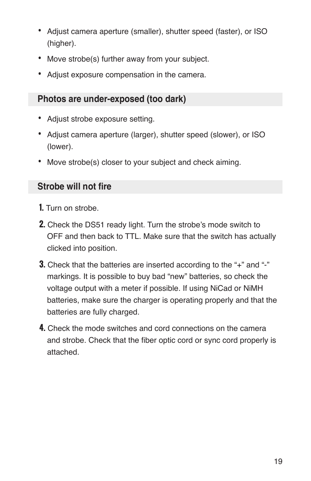- Adjust camera aperture (smaller), shutter speed (faster), or ISO (higher).
- Move strobe(s) further away from your subject.
- Adjust exposure compensation in the camera.

#### **Photos are under-exposed (too dark)**

- Adjust strobe exposure setting.
- Adjust camera aperture (larger), shutter speed (slower), or ISO (lower).
- Move strobe(s) closer to your subject and check aiming.

#### **Strobe will not fire**

- **1.** Turn on strobe.
- **2.** Check the DS51 ready light. Turn the strobe's mode switch to OFF and then back to TTL. Make sure that the switch has actually clicked into position.
- **3.** Check that the batteries are inserted according to the "+" and "-" markings. It is possible to buy bad "new" batteries, so check the voltage output with a meter if possible. If using NiCad or NiMH batteries, make sure the charger is operating properly and that the batteries are fully charged.
- **4.** Check the mode switches and cord connections on the camera and strobe. Check that the fiber optic cord or sync cord properly is attached.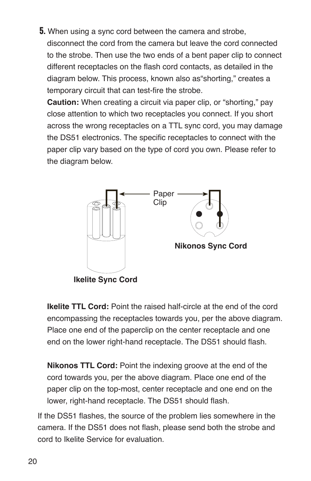**5.** When using a sync cord between the camera and strobe, disconnect the cord from the camera but leave the cord connected to the strobe. Then use the two ends of a bent paper clip to connect different receptacles on the flash cord contacts, as detailed in the diagram below. This process, known also as"shorting," creates a temporary circuit that can test-fire the strobe.

**Caution:** When creating a circuit via paper clip, or "shorting," pay close attention to which two receptacles you connect. If you short across the wrong receptacles on a TTL sync cord, you may damage the DS51 electronics. The specific receptacles to connect with the paper clip vary based on the type of cord you own. Please refer to the diagram below.



**Ikelite TTL Cord:** Point the raised half-circle at the end of the cord encompassing the receptacles towards you, per the above diagram. Place one end of the paperclip on the center receptacle and one end on the lower right-hand receptacle. The DS51 should flash.

**Nikonos TTL Cord:** Point the indexing groove at the end of the cord towards you, per the above diagram. Place one end of the paper clip on the top-most, center receptacle and one end on the lower, right-hand receptacle. The DS51 should flash.

If the DS51 flashes, the source of the problem lies somewhere in the camera. If the DS51 does not flash, please send both the strobe and cord to Ikelite Service for evaluation.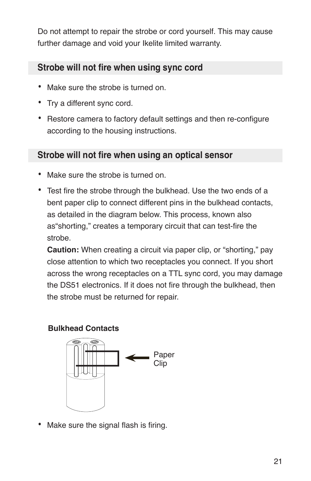Do not attempt to repair the strobe or cord yourself. This may cause further damage and void your Ikelite limited warranty.

#### **Strobe will not fire when using sync cord**

- Make sure the strobe is turned on.
- Try a different sync cord.
- Restore camera to factory default settings and then re-configure according to the housing instructions.

#### **Strobe will not fire when using an optical sensor**

- Make sure the strobe is turned on.
- Test fire the strobe through the bulkhead. Use the two ends of a bent paper clip to connect different pins in the bulkhead contacts, as detailed in the diagram below. This process, known also as"shorting," creates a temporary circuit that can test-fire the strobe.

**Caution:** When creating a circuit via paper clip, or "shorting," pay close attention to which two receptacles you connect. If you short across the wrong receptacles on a TTL sync cord, you may damage the DS51 electronics. If it does not fire through the bulkhead, then the strobe must be returned for repair.

#### **Bulkhead Contacts**



Make sure the signal flash is firing.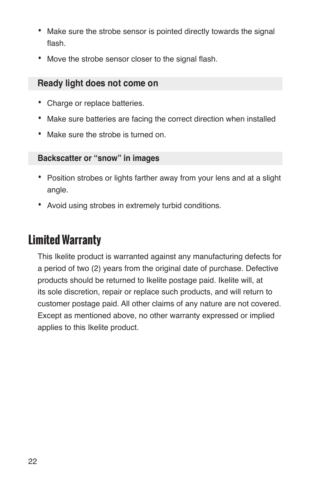- Make sure the strobe sensor is pointed directly towards the signal flash.
- Move the strobe sensor closer to the signal flash.

#### **Ready light does not come on**

- Charge or replace batteries.
- Make sure batteries are facing the correct direction when installed
- Make sure the strobe is turned on.

#### **Backscatter or "snow" in images**

- Position strobes or lights farther away from your lens and at a slight angle.
- Avoid using strobes in extremely turbid conditions.

## **Limited Warranty**

This Ikelite product is warranted against any manufacturing defects for a period of two (2) years from the original date of purchase. Defective products should be returned to Ikelite postage paid. Ikelite will, at its sole discretion, repair or replace such products, and will return to customer postage paid. All other claims of any nature are not covered. Except as mentioned above, no other warranty expressed or implied applies to this Ikelite product.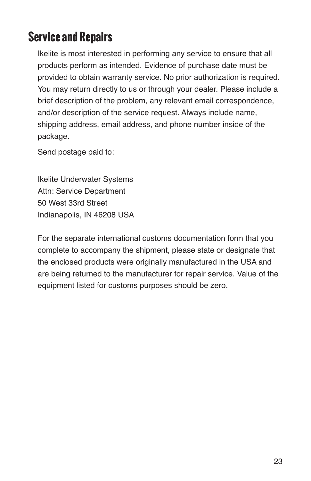## **Service and Repairs**

Ikelite is most interested in performing any service to ensure that all products perform as intended. Evidence of purchase date must be provided to obtain warranty service. No prior authorization is required. You may return directly to us or through your dealer. Please include a brief description of the problem, any relevant email correspondence, and/or description of the service request. Always include name, shipping address, email address, and phone number inside of the package.

Send postage paid to:

Ikelite Underwater Systems Attn: Service Department 50 West 33rd Street Indianapolis, IN 46208 USA

For the separate international customs documentation form that you complete to accompany the shipment, please state or designate that the enclosed products were originally manufactured in the USA and are being returned to the manufacturer for repair service. Value of the equipment listed for customs purposes should be zero.